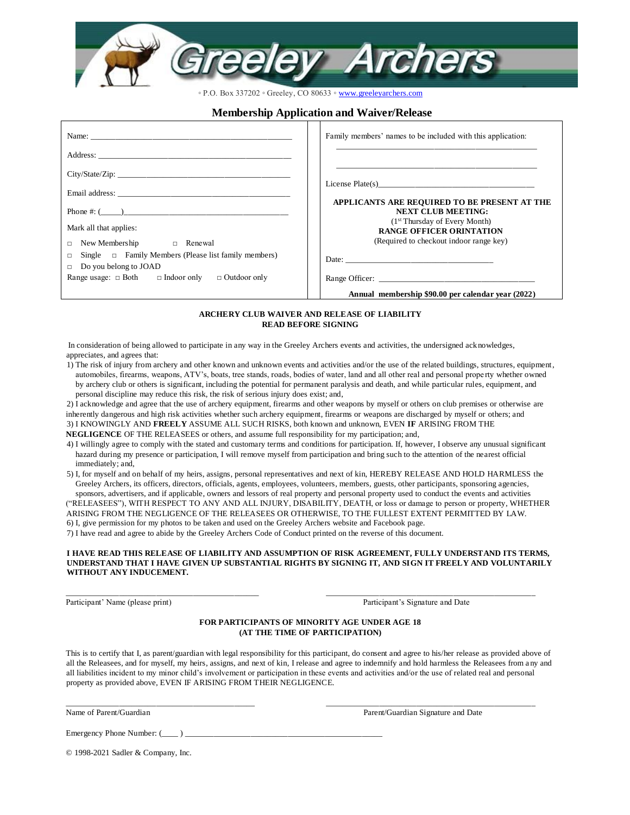| $\mathbf{W}$<br><u>. A ji ji - I</u><br>- 1<br>$\overline{\phantom{a}}$ | $\mathbf{v} = \mathbf{r}$ . |
|-------------------------------------------------------------------------|-----------------------------|
|-------------------------------------------------------------------------|-----------------------------|

◦ P.O. Box 337202 ◦ Greeley, CO 80633 ◦ www.greeleyarchers.com

# **Membership Application and Waiver/Release**

|                                                                                                        | Family members' names to be included with this application:               |
|--------------------------------------------------------------------------------------------------------|---------------------------------------------------------------------------|
|                                                                                                        |                                                                           |
|                                                                                                        |                                                                           |
|                                                                                                        |                                                                           |
| Phone #: $(\_\_)$                                                                                      | APPLICANTS ARE REQUIRED TO BE PRESENT AT THE<br><b>NEXT CLUB MEETING:</b> |
| Mark all that applies:                                                                                 | $(1st Thursday of Every Month)$<br><b>RANGE OFFICER ORINTATION</b>        |
| $\Box$                                                                                                 | (Required to checkout indoor range key)                                   |
| $Single \Box$ Family Members (Please list family members)<br>$\Box$<br>Do you belong to JOAD<br>$\Box$ |                                                                           |
| Range usage: $\Box$ Both $\Box$ Indoor only $\Box$ Outdoor only                                        | Range Officer:                                                            |
|                                                                                                        | Annual membership \$90.00 per calendar year (2022)                        |

### **ARCHERY CLUB WAIVER AND RELEASE OF LIABILITY READ BEFORE SIGNING**

In consideration of being allowed to participate in any way in the Greeley Archers events and activities, the undersigned acknowledges, appreciates, and agrees that:

1) The risk of injury from archery and other known and unknown events and activities and/or the use of the related buildings, structures, equipment, automobiles, firearms, weapons, ATV's, boats, tree stands, roads, bodies of water, land and all other real and personal prope rty whether owned by archery club or others is significant, including the potential for permanent paralysis and death, and while particular rules, equipment, and personal discipline may reduce this risk, the risk of serious injury does exist; and,

2) I acknowledge and agree that the use of archery equipment, firearms and other weapons by myself or others on club premises or otherwise are inherently dangerous and high risk activities whether such archery equipment, firearms or weapons are discharged by myself or others; and 3) I KNOWINGLY AND **FREELY** ASSUME ALL SUCH RISKS, both known and unknown, EVEN **IF** ARISING FROM THE **NEGLIGENCE** OF THE RELEASEES or others, and assume full responsibility for my participation; and,

4) I willingly agree to comply with the stated and customary terms and conditions for participation. If, however, I observe any unusual significant hazard during my presence or participation, I will remove myself from participation and bring such to the attention of the nearest official immediately; and,

5) I, for myself and on behalf of my heirs, assigns, personal representatives and next of kin, HEREBY RELEASE AND HOLD HARMLESS the Greeley Archers, its officers, directors, officials, agents, employees, volunteers, members, guests, other participants, sponsoring agencies,

sponsors, advertisers, and if applicable, owners and lessors of real property and personal property used to conduct the events and activities ("RELEASEES"), WITH RESPECT TO ANY AND ALL INJURY, DISABILITY, DEATH, or loss or damage to person or property, WHETHER ARISING FROM THE NEGLIGENCE OF THE RELEASEES OR OTHERWISE, TO THE FULLEST EXTENT PERMITTED BY LAW. 6) I, give permission for my photos to be taken and used on the Greeley Archers website and Facebook page.

7) I have read and agree to abide by the Greeley Archers Code of Conduct printed on the reverse of this document.

#### **I HAVE READ THIS RELEASE OF LIABILITY AND ASSUMPTION OF RISK AGREEMENT, FULLY UNDERSTAND ITS TERMS, UNDERSTAND THAT I HAVE GIVEN UP SUBSTANTIAL RIGHTS BY SIGNING IT, AND SIGN IT FREELY AND VOLUNTARILY WITHOUT ANY INDUCEMENT.**

\_\_\_\_\_\_\_\_\_\_\_\_\_\_\_\_\_\_\_\_\_\_\_\_\_\_\_\_\_\_\_\_\_\_\_\_\_\_\_\_\_\_\_\_\_\_\_ \_\_\_\_\_\_\_\_\_\_\_\_\_\_\_\_\_\_\_\_\_\_\_\_\_\_\_\_\_\_\_\_\_\_\_\_\_\_\_\_\_\_\_\_\_\_\_\_\_\_\_

Participant' Name (please print) Participant's Signature and Date

## **FOR PARTICIPANTS OF MINORITY AGE UNDER AGE 18 (AT THE TIME OF PARTICIPATION)**

This is to certify that I, as parent/guardian with legal responsibility for this participant, do consent and agree to his/her release as provided above of all the Releasees, and for myself, my heirs, assigns, and next of kin, I release and agree to indemnify and hold harmless the Releasees from any and all liabilities incident to my minor child's involvement or participation in these events and activities and/or the use of related real and personal property as provided above, EVEN IF ARISING FROM THEIR NEGLIGENCE.

 $\_$  ,  $\_$  ,  $\_$  ,  $\_$  ,  $\_$  ,  $\_$  ,  $\_$  ,  $\_$  ,  $\_$  ,  $\_$  ,  $\_$  ,  $\_$  ,  $\_$  ,  $\_$  ,  $\_$  ,  $\_$  ,  $\_$  ,  $\_$  ,  $\_$  ,  $\_$  ,  $\_$  ,  $\_$  ,  $\_$  ,  $\_$  ,  $\_$  ,  $\_$  ,  $\_$  ,  $\_$  ,  $\_$  ,  $\_$  ,  $\_$  ,  $\_$  ,  $\_$  ,  $\_$  ,  $\_$  ,  $\_$  ,  $\_$  ,

|  | Name of Parent/Guardian |  |
|--|-------------------------|--|
|  |                         |  |

Parent/Guardian Signature and Date

Emergency Phone Number:  $(\_\_)$ 

|  |  |  |  | © 1998-2021 Sadler & Company, Inc. |  |
|--|--|--|--|------------------------------------|--|
|--|--|--|--|------------------------------------|--|